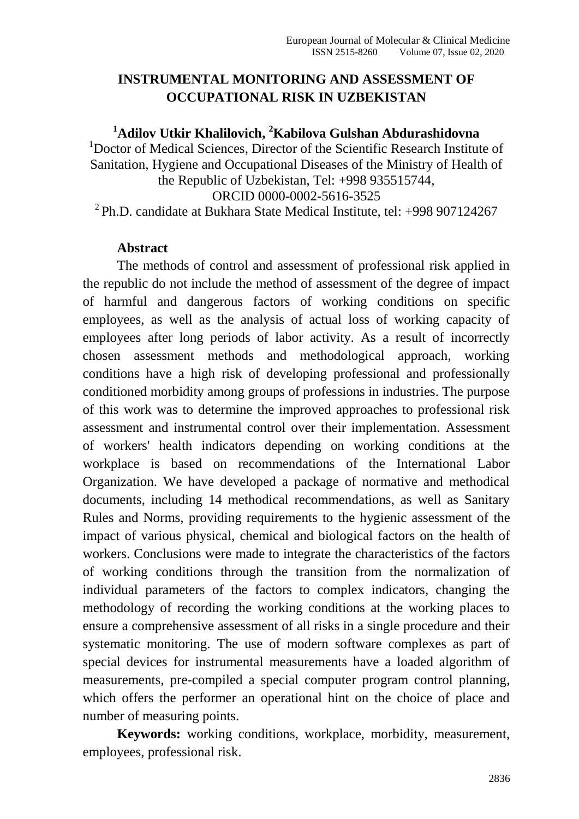# **INSTRUMENTAL MONITORING AND ASSESSMENT OF OCCUPATIONAL RISK IN UZBEKISTAN**

### **<sup>1</sup>Adilov Utkir Khalilovich, <sup>2</sup>Kabilova Gulshan Abdurashidovna**

<sup>1</sup>Doctor of Medical Sciences, Director of the Scientific Research Institute of Sanitation, Hygiene and Occupational Diseases of the Ministry of Health of the Republic of Uzbekistan, Tel: +998 935515744,

ORCID 0000-0002-5616-3525

 $^{2}$ Ph.D. candidate at Bukhara State Medical Institute, tel:  $+998907124267$ 

#### **Abstract**

The methods of control and assessment of professional risk applied in the republic do not include the method of assessment of the degree of impact of harmful and dangerous factors of working conditions on specific employees, as well as the analysis of actual loss of working capacity of employees after long periods of labor activity. As a result of incorrectly chosen assessment methods and methodological approach, working conditions have a high risk of developing professional and professionally conditioned morbidity among groups of professions in industries. The purpose of this work was to determine the improved approaches to professional risk assessment and instrumental control over their implementation. Assessment of workers' health indicators depending on working conditions at the workplace is based on recommendations of the International Labor Organization. We have developed a package of normative and methodical documents, including 14 methodical recommendations, as well as Sanitary Rules and Norms, providing requirements to the hygienic assessment of the impact of various physical, chemical and biological factors on the health of workers. Conclusions were made to integrate the characteristics of the factors of working conditions through the transition from the normalization of individual parameters of the factors to complex indicators, changing the methodology of recording the working conditions at the working places to ensure a comprehensive assessment of all risks in a single procedure and their systematic monitoring. The use of modern software complexes as part of special devices for instrumental measurements have a loaded algorithm of measurements, pre-compiled a special computer program control planning, which offers the performer an operational hint on the choice of place and number of measuring points.

**Keywords:** working conditions, workplace, morbidity, measurement, employees, professional risk.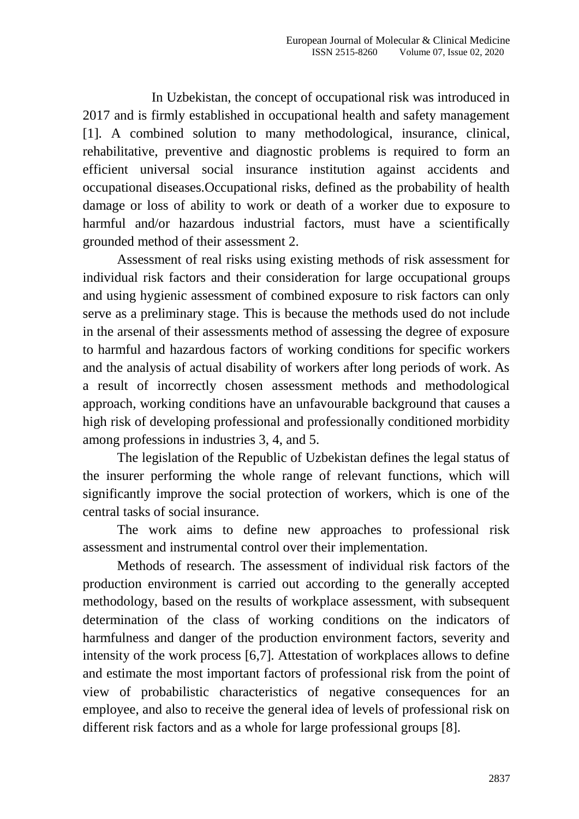In Uzbekistan, the concept of occupational risk was introduced in 2017 and is firmly established in occupational health and safety management [1]. A combined solution to many methodological, insurance, clinical, rehabilitative, preventive and diagnostic problems is required to form an efficient universal social insurance institution against accidents and occupational diseases.Occupational risks, defined as the probability of health damage or loss of ability to work or death of a worker due to exposure to harmful and/or hazardous industrial factors, must have a scientifically grounded method of their assessment 2.

Assessment of real risks using existing methods of risk assessment for individual risk factors and their consideration for large occupational groups and using hygienic assessment of combined exposure to risk factors can only serve as a preliminary stage. This is because the methods used do not include in the arsenal of their assessments method of assessing the degree of exposure to harmful and hazardous factors of working conditions for specific workers and the analysis of actual disability of workers after long periods of work. As a result of incorrectly chosen assessment methods and methodological approach, working conditions have an unfavourable background that causes a high risk of developing professional and professionally conditioned morbidity among professions in industries 3, 4, and 5.

The legislation of the Republic of Uzbekistan defines the legal status of the insurer performing the whole range of relevant functions, which will significantly improve the social protection of workers, which is one of the central tasks of social insurance.

The work aims to define new approaches to professional risk assessment and instrumental control over their implementation.

Methods of research. The assessment of individual risk factors of the production environment is carried out according to the generally accepted methodology, based on the results of workplace assessment, with subsequent determination of the class of working conditions on the indicators of harmfulness and danger of the production environment factors, severity and intensity of the work process [6,7]. Attestation of workplaces allows to define and estimate the most important factors of professional risk from the point of view of probabilistic characteristics of negative consequences for an employee, and also to receive the general idea of levels of professional risk on different risk factors and as a whole for large professional groups [8].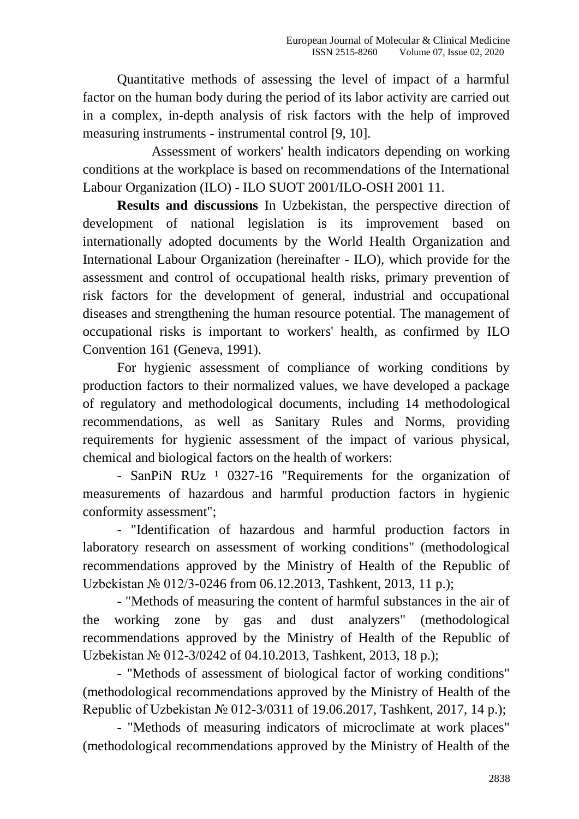Quantitative methods of assessing the level of impact of a harmful factor on the human body during the period of its labor activity are carried out in a complex, in-depth analysis of risk factors with the help of improved measuring instruments - instrumental control [9, 10].

Assessment of workers' health indicators depending on working conditions at the workplace is based on recommendations of the International Labour Organization (ILO) - ILO SUOT 2001/ILO-OSH 2001 11.

**Results and discussions** In Uzbekistan, the perspective direction of development of national legislation is its improvement based on internationally adopted documents by the World Health Organization and International Labour Organization (hereinafter - ILO), which provide for the assessment and control of occupational health risks, primary prevention of risk factors for the development of general, industrial and occupational diseases and strengthening the human resource potential. The management of occupational risks is important to workers' health, as confirmed by ILO Convention 161 (Geneva, 1991).

For hygienic assessment of compliance of working conditions by production factors to their normalized values, we have developed a package of regulatory and methodological documents, including 14 methodological recommendations, as well as Sanitary Rules and Norms, providing requirements for hygienic assessment of the impact of various physical, chemical and biological factors on the health of workers:

- SanPiN RUz <sup>1</sup> 0327-16 "Requirements for the organization of measurements of hazardous and harmful production factors in hygienic conformity assessment";

- "Identification of hazardous and harmful production factors in laboratory research on assessment of working conditions" (methodological recommendations approved by the Ministry of Health of the Republic of Uzbekistan № 012/3-0246 from 06.12.2013, Tashkent, 2013, 11 p.);

- "Methods of measuring the content of harmful substances in the air of the working zone by gas and dust analyzers" (methodological recommendations approved by the Ministry of Health of the Republic of Uzbekistan № 012-3/0242 of 04.10.2013, Tashkent, 2013, 18 p.);

- "Methods of assessment of biological factor of working conditions" (methodological recommendations approved by the Ministry of Health of the Republic of Uzbekistan № 012-3/0311 of 19.06.2017, Tashkent, 2017, 14 p.);

- "Methods of measuring indicators of microclimate at work places" (methodological recommendations approved by the Ministry of Health of the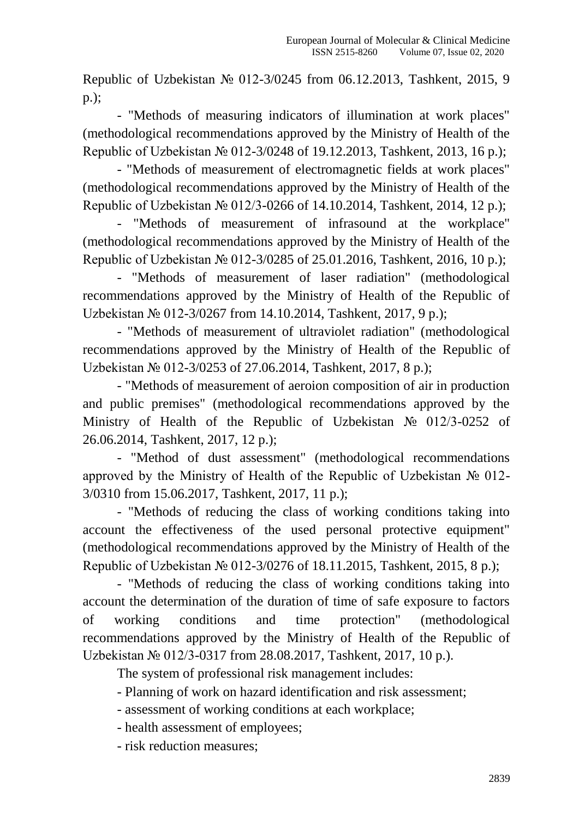Republic of Uzbekistan № 012-3/0245 from 06.12.2013, Tashkent, 2015, 9 p.);

- "Methods of measuring indicators of illumination at work places" (methodological recommendations approved by the Ministry of Health of the Republic of Uzbekistan № 012-3/0248 of 19.12.2013, Tashkent, 2013, 16 p.);

- "Methods of measurement of electromagnetic fields at work places" (methodological recommendations approved by the Ministry of Health of the Republic of Uzbekistan № 012/3-0266 of 14.10.2014, Tashkent, 2014, 12 p.);

- "Methods of measurement of infrasound at the workplace" (methodological recommendations approved by the Ministry of Health of the Republic of Uzbekistan № 012-3/0285 of 25.01.2016, Tashkent, 2016, 10 p.);

- "Methods of measurement of laser radiation" (methodological recommendations approved by the Ministry of Health of the Republic of Uzbekistan № 012-3/0267 from 14.10.2014, Tashkent, 2017, 9 p.);

- "Methods of measurement of ultraviolet radiation" (methodological recommendations approved by the Ministry of Health of the Republic of Uzbekistan № 012-3/0253 of 27.06.2014, Tashkent, 2017, 8 p.);

- "Methods of measurement of aeroion composition of air in production and public premises" (methodological recommendations approved by the Ministry of Health of the Republic of Uzbekistan № 012/3-0252 of 26.06.2014, Tashkent, 2017, 12 p.);

- "Method of dust assessment" (methodological recommendations approved by the Ministry of Health of the Republic of Uzbekistan № 012- 3/0310 from 15.06.2017, Tashkent, 2017, 11 p.);

- "Methods of reducing the class of working conditions taking into account the effectiveness of the used personal protective equipment" (methodological recommendations approved by the Ministry of Health of the Republic of Uzbekistan № 012-3/0276 of 18.11.2015, Tashkent, 2015, 8 p.);

- "Methods of reducing the class of working conditions taking into account the determination of the duration of time of safe exposure to factors of working conditions and time protection" (methodological recommendations approved by the Ministry of Health of the Republic of Uzbekistan № 012/3-0317 from 28.08.2017, Tashkent, 2017, 10 p.).

The system of professional risk management includes:

- Planning of work on hazard identification and risk assessment;

- assessment of working conditions at each workplace;

- health assessment of employees;

- risk reduction measures;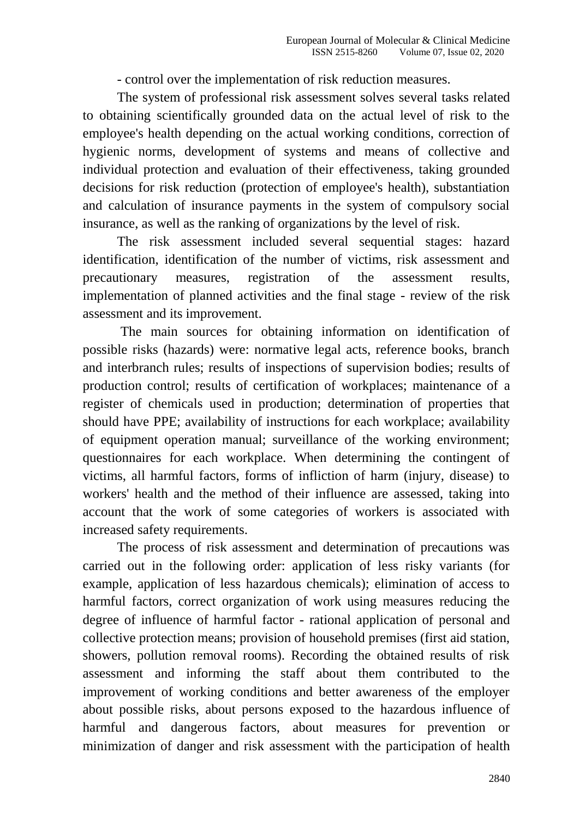- control over the implementation of risk reduction measures.

The system of professional risk assessment solves several tasks related to obtaining scientifically grounded data on the actual level of risk to the employee's health depending on the actual working conditions, correction of hygienic norms, development of systems and means of collective and individual protection and evaluation of their effectiveness, taking grounded decisions for risk reduction (protection of employee's health), substantiation and calculation of insurance payments in the system of compulsory social insurance, as well as the ranking of organizations by the level of risk.

The risk assessment included several sequential stages: hazard identification, identification of the number of victims, risk assessment and precautionary measures, registration of the assessment results, implementation of planned activities and the final stage - review of the risk assessment and its improvement.

The main sources for obtaining information on identification of possible risks (hazards) were: normative legal acts, reference books, branch and interbranch rules; results of inspections of supervision bodies; results of production control; results of certification of workplaces; maintenance of a register of chemicals used in production; determination of properties that should have PPE; availability of instructions for each workplace; availability of equipment operation manual; surveillance of the working environment; questionnaires for each workplace. When determining the contingent of victims, all harmful factors, forms of infliction of harm (injury, disease) to workers' health and the method of their influence are assessed, taking into account that the work of some categories of workers is associated with increased safety requirements.

The process of risk assessment and determination of precautions was carried out in the following order: application of less risky variants (for example, application of less hazardous chemicals); elimination of access to harmful factors, correct organization of work using measures reducing the degree of influence of harmful factor - rational application of personal and collective protection means; provision of household premises (first aid station, showers, pollution removal rooms). Recording the obtained results of risk assessment and informing the staff about them contributed to the improvement of working conditions and better awareness of the employer about possible risks, about persons exposed to the hazardous influence of harmful and dangerous factors, about measures for prevention or minimization of danger and risk assessment with the participation of health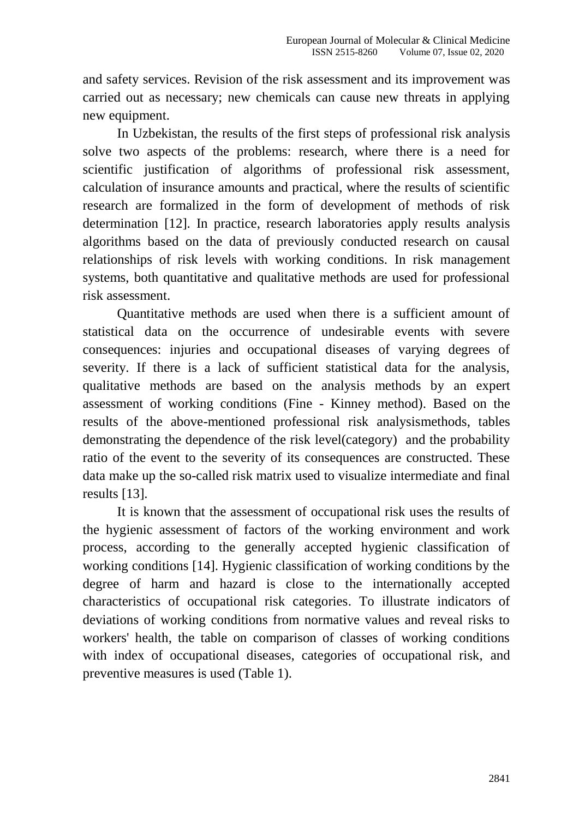and safety services. Revision of the risk assessment and its improvement was carried out as necessary; new chemicals can cause new threats in applying new equipment.

In Uzbekistan, the results of the first steps of professional risk analysis solve two aspects of the problems: research, where there is a need for scientific justification of algorithms of professional risk assessment, calculation of insurance amounts and practical, where the results of scientific research are formalized in the form of development of methods of risk determination [12]. In practice, research laboratories apply results analysis algorithms based on the data of previously conducted research on causal relationships of risk levels with working conditions. In risk management systems, both quantitative and qualitative methods are used for professional risk assessment.

Quantitative methods are used when there is a sufficient amount of statistical data on the occurrence of undesirable events with severe consequences: injuries and occupational diseases of varying degrees of severity. If there is a lack of sufficient statistical data for the analysis, qualitative methods are based on the analysis methods by an expert assessment of working conditions (Fine - Kinney method). Based on the results of the above-mentioned professional risk analysismethods, tables demonstrating the dependence of the risk level(category) and the probability ratio of the event to the severity of its consequences are constructed. These data make up the so-called risk matrix used to visualize intermediate and final results [13].

It is known that the assessment of occupational risk uses the results of the hygienic assessment of factors of the working environment and work process, according to the generally accepted hygienic classification of working conditions [14]. Hygienic classification of working conditions by the degree of harm and hazard is close to the internationally accepted characteristics of occupational risk categories. To illustrate indicators of deviations of working conditions from normative values and reveal risks to workers' health, the table on comparison of classes of working conditions with index of occupational diseases, categories of occupational risk, and preventive measures is used (Table 1).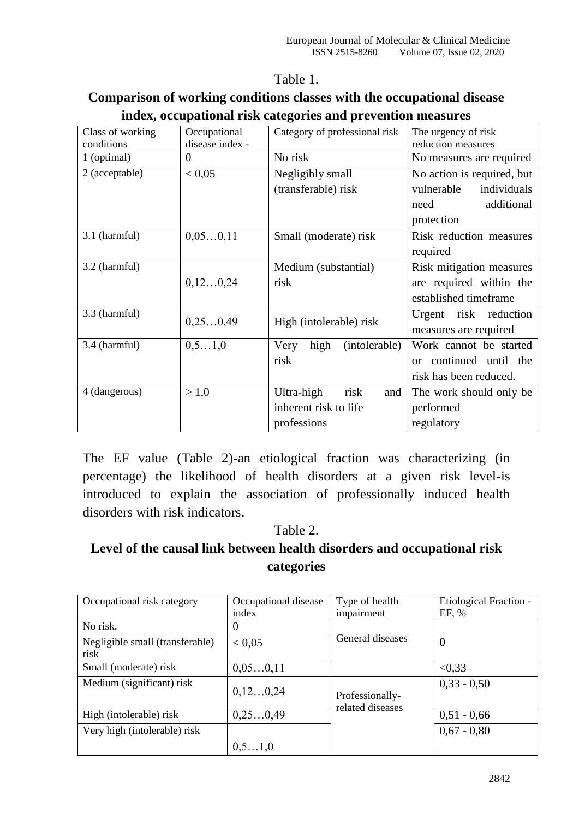#### Table 1.

### **Comparison of working conditions classes with the occupational disease index, occupational risk categories and prevention measures**

| Class of working | Occupational    | Category of professional risk | The urgency of risk        |  |
|------------------|-----------------|-------------------------------|----------------------------|--|
| conditions       | disease index - |                               | reduction measures         |  |
| 1 (optimal)      | $\theta$        | No risk                       | No measures are required   |  |
| 2 (acceptable)   | < 0.05          | Negligibly small              | No action is required, but |  |
|                  |                 | (transferable) risk           | vulnerable<br>individuals  |  |
|                  |                 |                               | additional<br>need         |  |
|                  |                 |                               | protection                 |  |
| 3.1 (harmful)    | 0,050,11        | Small (moderate) risk         | Risk reduction measures    |  |
|                  |                 |                               | required                   |  |
| 3.2 (harmful)    |                 | Medium (substantial)          | Risk mitigation measures   |  |
|                  | 0, 120, 24      | risk                          | are required within the    |  |
|                  |                 |                               | established timeframe      |  |
| 3.3 (harmful)    | 0,250,49        | High (intolerable) risk       | Urgent risk<br>reduction   |  |
|                  |                 |                               | measures are required      |  |
| 3.4 (harmful)    | 0, 51, 0        | high<br>(intolerable)<br>Very | Work cannot be started     |  |
|                  |                 | risk                          | or continued until the     |  |
|                  |                 |                               | risk has been reduced.     |  |
| 4 (dangerous)    | > 1,0           | risk<br>Ultra-high<br>and     | The work should only be    |  |
|                  |                 | inherent risk to life         | performed                  |  |
|                  |                 | professions                   | regulatory                 |  |

The EF value (Table 2)-an etiological fraction was characterizing (in percentage) the likelihood of health disorders at a given risk level-is introduced to explain the association of professionally induced health disorders with risk indicators.

#### Table 2.

# **Level of the causal link between health disorders and occupational risk categories**

| Occupational risk category      | Occupational disease | Type of health                      | Etiological Fraction - |
|---------------------------------|----------------------|-------------------------------------|------------------------|
|                                 | index                | impairment                          | EF, %                  |
| No risk.                        | $\theta$             |                                     |                        |
| Negligible small (transferable) | < 0.05               | General diseases                    | $\overline{0}$         |
| risk                            |                      |                                     |                        |
| Small (moderate) risk           | 0,050,11             |                                     | < 0.33                 |
| Medium (significant) risk       |                      |                                     | $0,33 - 0,50$          |
|                                 | 0, 120, 24           | Professionally-<br>related diseases |                        |
| High (intolerable) risk         | 0,250,49             |                                     | $0,51 - 0,66$          |
| Very high (intolerable) risk    |                      |                                     | $0,67 - 0,80$          |
|                                 | 0, 51, 0             |                                     |                        |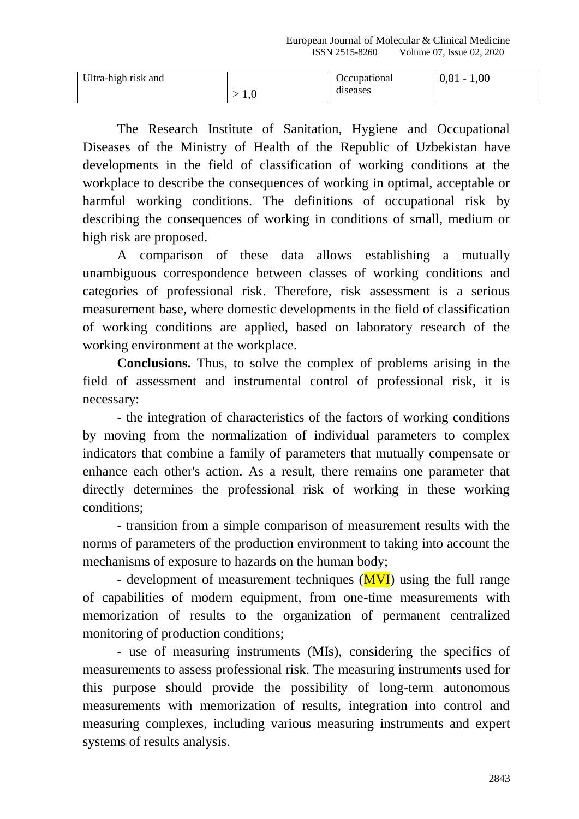| Ultra-high risk and |              | <b>Occupational</b> | $0,81 - 1,00$ |
|---------------------|--------------|---------------------|---------------|
|                     | $\mathbf{L}$ | diseases            |               |

The Research Institute of Sanitation, Hygiene and Occupational Diseases of the Ministry of Health of the Republic of Uzbekistan have developments in the field of classification of working conditions at the workplace to describe the consequences of working in optimal, acceptable or harmful working conditions. The definitions of occupational risk by describing the consequences of working in conditions of small, medium or high risk are proposed.

A comparison of these data allows establishing a mutually unambiguous correspondence between classes of working conditions and categories of professional risk. Therefore, risk assessment is a serious measurement base, where domestic developments in the field of classification of working conditions are applied, based on laboratory research of the working environment at the workplace.

**Conclusions.** Thus, to solve the complex of problems arising in the field of assessment and instrumental control of professional risk, it is necessary:

- the integration of characteristics of the factors of working conditions by moving from the normalization of individual parameters to complex indicators that combine a family of parameters that mutually compensate or enhance each other's action. As a result, there remains one parameter that directly determines the professional risk of working in these working conditions;

- transition from a simple comparison of measurement results with the norms of parameters of the production environment to taking into account the mechanisms of exposure to hazards on the human body;

- development of measurement techniques  $(MVI)$  using the full range of capabilities of modern equipment, from one-time measurements with memorization of results to the organization of permanent centralized monitoring of production conditions;

- use of measuring instruments (MIs), considering the specifics of measurements to assess professional risk. The measuring instruments used for this purpose should provide the possibility of long-term autonomous measurements with memorization of results, integration into control and measuring complexes, including various measuring instruments and expert systems of results analysis.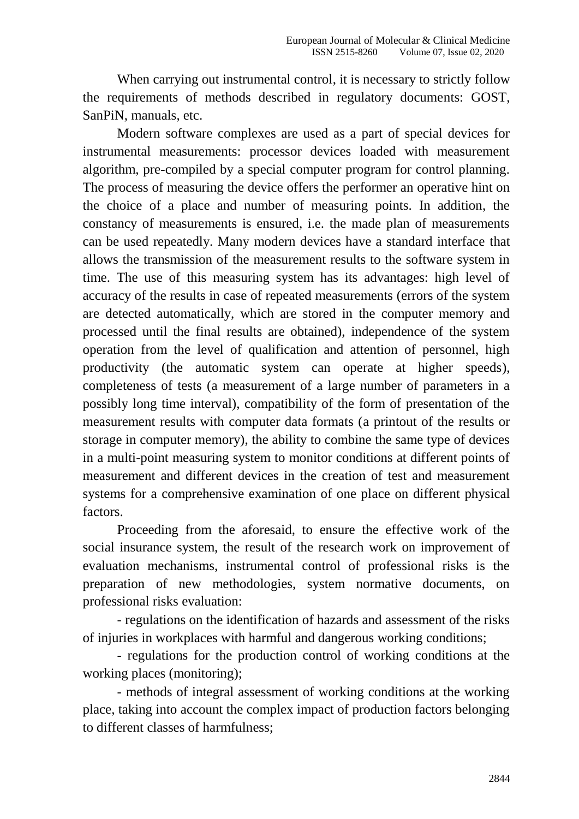When carrying out instrumental control, it is necessary to strictly follow the requirements of methods described in regulatory documents: GOST, SanPiN, manuals, etc.

Modern software complexes are used as a part of special devices for instrumental measurements: processor devices loaded with measurement algorithm, pre-compiled by a special computer program for control planning. The process of measuring the device offers the performer an operative hint on the choice of a place and number of measuring points. In addition, the constancy of measurements is ensured, i.e. the made plan of measurements can be used repeatedly. Many modern devices have a standard interface that allows the transmission of the measurement results to the software system in time. The use of this measuring system has its advantages: high level of accuracy of the results in case of repeated measurements (errors of the system are detected automatically, which are stored in the computer memory and processed until the final results are obtained), independence of the system operation from the level of qualification and attention of personnel, high productivity (the automatic system can operate at higher speeds), completeness of tests (a measurement of a large number of parameters in a possibly long time interval), compatibility of the form of presentation of the measurement results with computer data formats (a printout of the results or storage in computer memory), the ability to combine the same type of devices in a multi-point measuring system to monitor conditions at different points of measurement and different devices in the creation of test and measurement systems for a comprehensive examination of one place on different physical factors.

Proceeding from the aforesaid, to ensure the effective work of the social insurance system, the result of the research work on improvement of evaluation mechanisms, instrumental control of professional risks is the preparation of new methodologies, system normative documents, on professional risks evaluation:

- regulations on the identification of hazards and assessment of the risks of injuries in workplaces with harmful and dangerous working conditions;

- regulations for the production control of working conditions at the working places (monitoring);

- methods of integral assessment of working conditions at the working place, taking into account the complex impact of production factors belonging to different classes of harmfulness;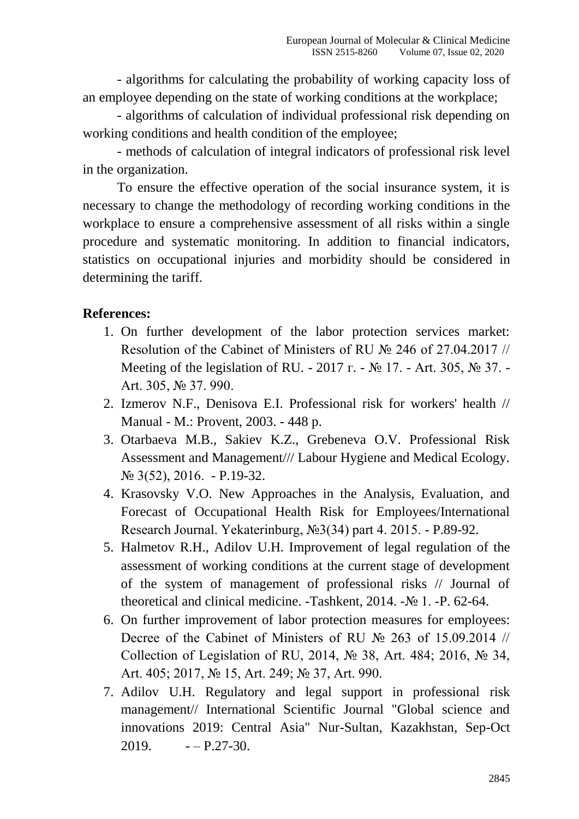- algorithms for calculating the probability of working capacity loss of an employee depending on the state of working conditions at the workplace;

- algorithms of calculation of individual professional risk depending on working conditions and health condition of the employee;

- methods of calculation of integral indicators of professional risk level in the organization.

To ensure the effective operation of the social insurance system, it is necessary to change the methodology of recording working conditions in the workplace to ensure a comprehensive assessment of all risks within a single procedure and systematic monitoring. In addition to financial indicators, statistics on occupational injuries and morbidity should be considered in determining the tariff.

### **References:**

- 1. On further development of the labor protection services market: Resolution of the Cabinet of Ministers of RU № 246 of 27.04.2017 // Meeting of the legislation of RU. - 2017 г. - № 17. - Art. 305, № 37. - Art. 305, № 37. 990.
- 2. Izmerov N.F., Denisova E.I. Professional risk for workers' health // Manual - M.: Provent, 2003. - 448 p.
- 3. Otarbaeva M.B., Sakiev K.Z., Grebeneva O.V. Professional Risk Assessment and Management/// Labour Hygiene and Medical Ecology. № 3(52), 2016. - P.19-32.
- 4. Krasovsky V.O. New Approaches in the Analysis, Evaluation, and Forecast of Occupational Health Risk for Employees/International Research Journal. Yekaterinburg, №3(34) part 4. 2015. - P.89-92.
- 5. Halmetov R.H., Adilov U.H. Improvement of legal regulation of the assessment of working conditions at the current stage of development of the system of management of professional risks // Journal of theoretical and clinical medicine. -Tashkent, 2014. -№ 1. -P. 62-64.
- 6. On further improvement of labor protection measures for employees: Decree of the Cabinet of Ministers of RU № 263 of 15.09.2014 // Collection of Legislation of RU, 2014, № 38, Art. 484; 2016, № 34, Art. 405; 2017, № 15, Art. 249; № 37, Art. 990.
- 7. Adilov U.H. Regulatory and legal support in professional risk management// International Scientific Journal "Global science and innovations 2019: Central Asia" Nur-Sultan, Kazakhstan, Sep-Oct  $2019. -P.27-30.$